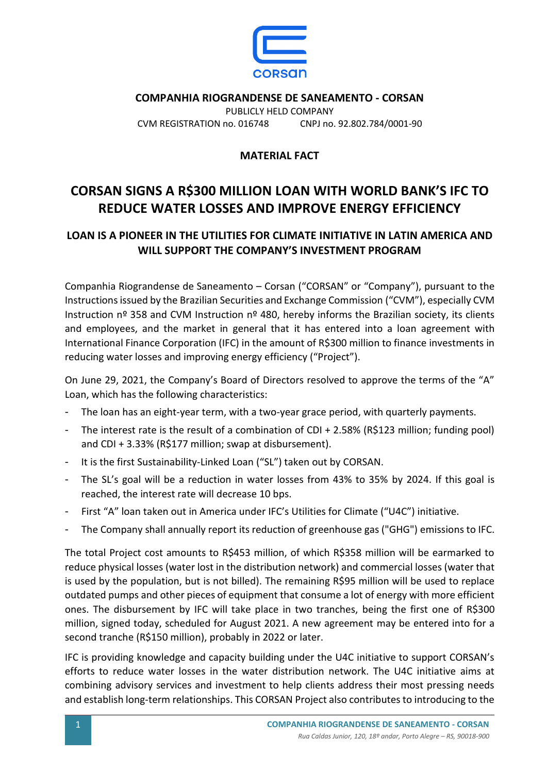

**COMPANHIA RIOGRANDENSE DE SANEAMENTO - CORSAN** PUBLICLY HELD COMPANY CVM REGISTRATION no. 016748 CNPJ no. 92.802.784/0001-90

## **MATERIAL FACT**

## **CORSAN SIGNS A R\$300 MILLION LOAN WITH WORLD BANK'S IFC TO REDUCE WATER LOSSES AND IMPROVE ENERGY EFFICIENCY**

## **LOAN IS A PIONEER IN THE UTILITIES FOR CLIMATE INITIATIVE IN LATIN AMERICA AND WILL SUPPORT THE COMPANY'S INVESTMENT PROGRAM**

Companhia Riograndense de Saneamento – Corsan ("CORSAN" or "Company"), pursuant to the Instructions issued by the Brazilian Securities and Exchange Commission ("CVM"), especially CVM Instruction nº 358 and CVM Instruction nº 480, hereby informs the Brazilian society, its clients and employees, and the market in general that it has entered into a loan agreement with International Finance Corporation (IFC) in the amount of R\$300 million to finance investments in reducing water losses and improving energy efficiency ("Project").

On June 29, 2021, the Company's Board of Directors resolved to approve the terms of the "A" Loan, which has the following characteristics:

- The loan has an eight-year term, with a two-year grace period, with quarterly payments.
- The interest rate is the result of a combination of CDI + 2.58% (R\$123 million; funding pool) and CDI + 3.33% (R\$177 million; swap at disbursement).
- It is the first Sustainability-Linked Loan ("SL") taken out by CORSAN.
- The SL's goal will be a reduction in water losses from 43% to 35% by 2024. If this goal is reached, the interest rate will decrease 10 bps.
- First "A" loan taken out in America under IFC's Utilities for Climate ("U4C") initiative.
- The Company shall annually report its reduction of greenhouse gas ("GHG") emissions to IFC.

The total Project cost amounts to R\$453 million, of which R\$358 million will be earmarked to reduce physical losses (water lost in the distribution network) and commercial losses (water that is used by the population, but is not billed). The remaining R\$95 million will be used to replace outdated pumps and other pieces of equipment that consume a lot of energy with more efficient ones. The disbursement by IFC will take place in two tranches, being the first one of R\$300 million, signed today, scheduled for August 2021. A new agreement may be entered into for a second tranche (R\$150 million), probably in 2022 or later.

IFC is providing knowledge and capacity building under the U4C initiative to support CORSAN's efforts to reduce water losses in the water distribution network. The U4C initiative aims at combining advisory services and investment to help clients address their most pressing needs and establish long-term relationships. This CORSAN Project also contributes to introducing to the